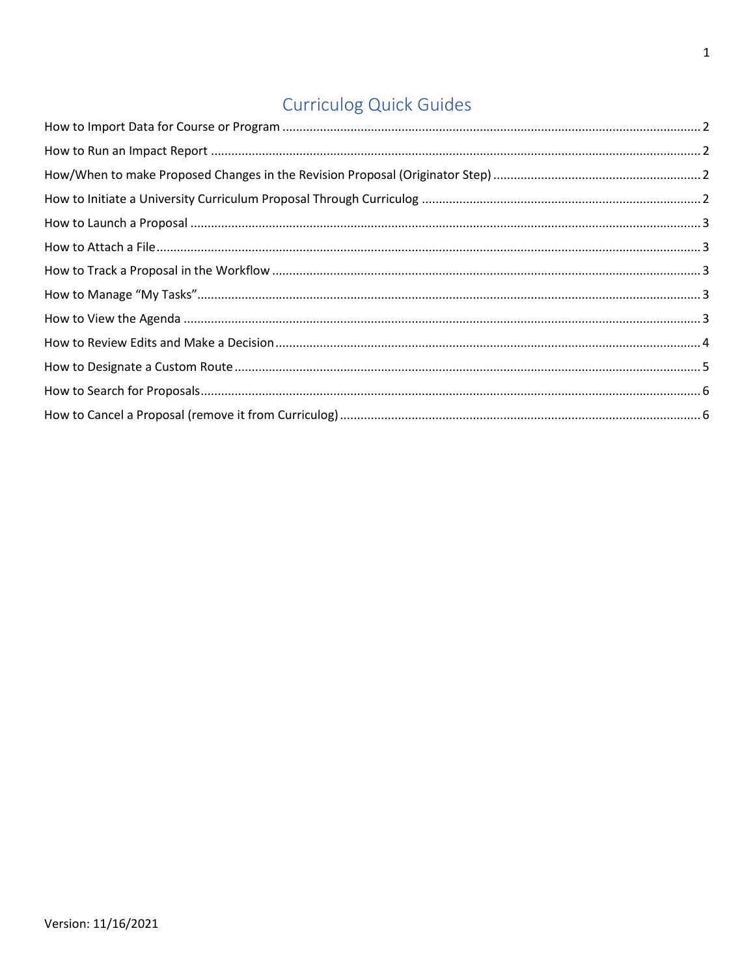# Curriculog Quick Guides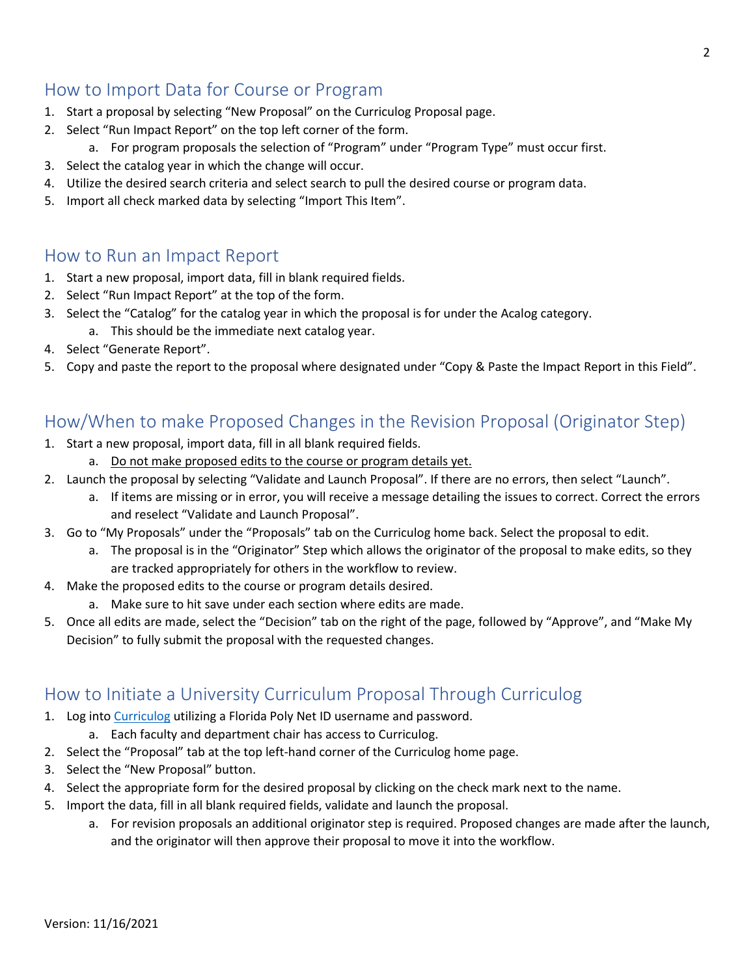# <span id="page-1-0"></span>How to Import Data for Course or Program

- 1. Start a proposal by selecting "New Proposal" on the Curriculog Proposal page.
- 2. Select "Run Impact Report" on the top left corner of the form.
	- a. For program proposals the selection of "Program" under "Program Type" must occur first.
- 3. Select the catalog year in which the change will occur.
- 4. Utilize the desired search criteria and select search to pull the desired course or program data.
- 5. Import all check marked data by selecting "Import This Item".

#### <span id="page-1-1"></span>How to Run an Impact Report

- 1. Start a new proposal, import data, fill in blank required fields.
- 2. Select "Run Impact Report" at the top of the form.
- 3. Select the "Catalog" for the catalog year in which the proposal is for under the Acalog category.
	- a. This should be the immediate next catalog year.
- 4. Select "Generate Report".
- 5. Copy and paste the report to the proposal where designated under "Copy & Paste the Impact Report in this Field".

# <span id="page-1-2"></span>How/When to make Proposed Changes in the Revision Proposal (Originator Step)

- 1. Start a new proposal, import data, fill in all blank required fields.
	- a. Do not make proposed edits to the course or program details yet.
- 2. Launch the proposal by selecting "Validate and Launch Proposal". If there are no errors, then select "Launch".
	- a. If items are missing or in error, you will receive a message detailing the issues to correct. Correct the errors and reselect "Validate and Launch Proposal".
- 3. Go to "My Proposals" under the "Proposals" tab on the Curriculog home back. Select the proposal to edit.
	- a. The proposal is in the "Originator" Step which allows the originator of the proposal to make edits, so they are tracked appropriately for others in the workflow to review.
- 4. Make the proposed edits to the course or program details desired.
	- a. Make sure to hit save under each section where edits are made.
- 5. Once all edits are made, select the "Decision" tab on the right of the page, followed by "Approve", and "Make My Decision" to fully submit the proposal with the requested changes.

## <span id="page-1-3"></span>How to Initiate a University Curriculum Proposal Through Curriculog

- 1. Log into [Curriculog](https://adfs.floridapoly.org/adfs/ls/?SAMLRequest=hVNNj9owEL3vr4hyhxA%2BFmQBEoV%2BIFFAQHvopZo4E9aqY6eeSZf992sHtrBSRX2J9fze87zxZExQ6krMan4yO%2FxdI%2FFDFJ1KbUg0R5O4dkZYIEXCQIkkWIr97OtKdNsdUTnLVlodvxPd1wAROlbWBNFyMYk364%2Brzefl%2Bueon6ZZIQf9x14fc%2BwMs6LXG0EXR8MszQaP%2FWI47HYgDcLv6Mh7TGJv2RgR1bg0xGDYg51u2ko7re7okPZEmopB%2F0dgLXw%2BZYAb5RNzRSJJIC%2BoXWjrVA6V1S9t644NmGhKgmp7SflBmVyZ4%2F142ZlE4svhsG1tN%2FtDsJi9hZ5bQ3WJbo%2Fuj5L4bbe6FpKrIzjZIrLt87Ytta3zRILWGchf8dQ7RdE49Fg0gd30f9oSGXJgGCe3qqtPJdY%2BwnKxtVrJlwYP65N1JfD9pAFReatoqIIdGFJoOP5rMtPaPs8dAuMkZldjHCXvrr5MHObN%2FPnWMJ44mtuyAqcovBGeQPIl9zX7LX2u%2FUDtsJjenTkpZOB5eOs%2Fz9bl4VFR%2BrsPofDKOr606J%2Fm56qTO2VPH96Ob3%2Bm6Ss%3D&RelayState=https%3A%2F%2Fdigarc-sso.digarc.cloud%2Ffloridapolytechnic%2Fcurriculog%2Fsso) utilizing a Florida Poly Net ID username and password.
	- a. Each faculty and department chair has access to Curriculog.
- 2. Select the "Proposal" tab at the top left-hand corner of the Curriculog home page.
- 3. Select the "New Proposal" button.
- 4. Select the appropriate form for the desired proposal by clicking on the check mark next to the name.
- 5. Import the data, fill in all blank required fields, validate and launch the proposal.
	- a. For revision proposals an additional originator step is required. Proposed changes are made after the launch, and the originator will then approve their proposal to move it into the workflow.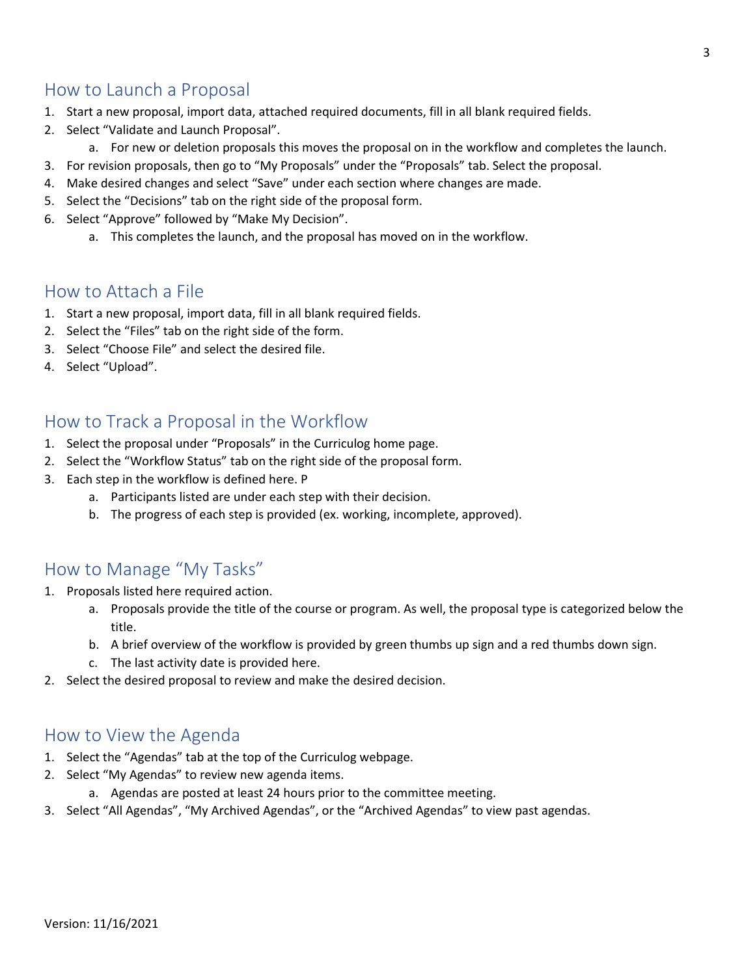# <span id="page-2-0"></span>How to Launch a Proposal

- 1. Start a new proposal, import data, attached required documents, fill in all blank required fields.
- 2. Select "Validate and Launch Proposal".
	- a. For new or deletion proposals this moves the proposal on in the workflow and completes the launch.
- 3. For revision proposals, then go to "My Proposals" under the "Proposals" tab. Select the proposal.
- 4. Make desired changes and select "Save" under each section where changes are made.
- 5. Select the "Decisions" tab on the right side of the proposal form.
- 6. Select "Approve" followed by "Make My Decision".
	- a. This completes the launch, and the proposal has moved on in the workflow.

#### <span id="page-2-1"></span>How to Attach a File

- 1. Start a new proposal, import data, fill in all blank required fields.
- 2. Select the "Files" tab on the right side of the form.
- 3. Select "Choose File" and select the desired file.
- 4. Select "Upload".

#### <span id="page-2-2"></span>How to Track a Proposal in the Workflow

- 1. Select the proposal under "Proposals" in the Curriculog home page.
- 2. Select the "Workflow Status" tab on the right side of the proposal form.
- 3. Each step in the workflow is defined here. P
	- a. Participants listed are under each step with their decision.
	- b. The progress of each step is provided (ex. working, incomplete, approved).

## <span id="page-2-3"></span>How to Manage "My Tasks"

- 1. Proposals listed here required action.
	- a. Proposals provide the title of the course or program. As well, the proposal type is categorized below the title.
	- b. A brief overview of the workflow is provided by green thumbs up sign and a red thumbs down sign.
	- c. The last activity date is provided here.
- 2. Select the desired proposal to review and make the desired decision.

#### <span id="page-2-4"></span>How to View the Agenda

- 1. Select the "Agendas" tab at the top of the Curriculog webpage.
- 2. Select "My Agendas" to review new agenda items.
	- a. Agendas are posted at least 24 hours prior to the committee meeting.
- 3. Select "All Agendas", "My Archived Agendas", or the "Archived Agendas" to view past agendas.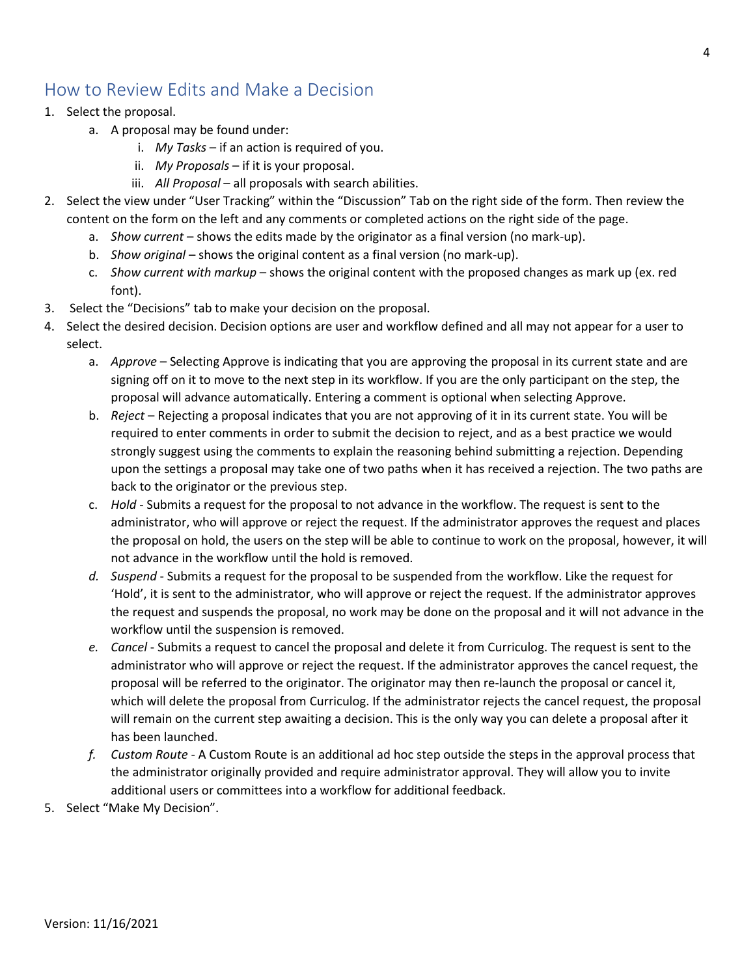# <span id="page-3-0"></span>How to Review Edits and Make a Decision

- 1. Select the proposal.
	- a. A proposal may be found under:
		- i. *My Tasks* if an action is required of you.
		- ii. *My Proposals* if it is your proposal.
		- iii. *All Proposal* all proposals with search abilities.
- 2. Select the view under "User Tracking" within the "Discussion" Tab on the right side of the form. Then review the content on the form on the left and any comments or completed actions on the right side of the page.
	- a. *Show current* shows the edits made by the originator as a final version (no mark-up).
	- b. *Show original* shows the original content as a final version (no mark-up).
	- c. *Show current with markup* shows the original content with the proposed changes as mark up (ex. red font).
- 3. Select the "Decisions" tab to make your decision on the proposal.
- 4. Select the desired decision. Decision options are user and workflow defined and all may not appear for a user to select.
	- a. *Approve* Selecting Approve is indicating that you are approving the proposal in its current state and are signing off on it to move to the next step in its workflow. If you are the only participant on the step, the proposal will advance automatically. Entering a comment is optional when selecting Approve.
	- b. *Reject* Rejecting a proposal indicates that you are not approving of it in its current state. You will be required to enter comments in order to submit the decision to reject, and as a best practice we would strongly suggest using the comments to explain the reasoning behind submitting a rejection. Depending upon the settings a proposal may take one of two paths when it has received a rejection. The two paths are back to the originator or the previous step.
	- c. *Hold* Submits a request for the proposal to not advance in the workflow. The request is sent to the administrator, who will approve or reject the request. If the administrator approves the request and places the proposal on hold, the users on the step will be able to continue to work on the proposal, however, it will not advance in the workflow until the hold is removed.
	- *d. Suspend* Submits a request for the proposal to be suspended from the workflow. Like the request for 'Hold', it is sent to the administrator, who will approve or reject the request. If the administrator approves the request and suspends the proposal, no work may be done on the proposal and it will not advance in the workflow until the suspension is removed.
	- *e. Cancel* Submits a request to cancel the proposal and delete it from Curriculog. The request is sent to the administrator who will approve or reject the request. If the administrator approves the cancel request, the proposal will be referred to the originator. The originator may then re-launch the proposal or cancel it, which will delete the proposal from Curriculog. If the administrator rejects the cancel request, the proposal will remain on the current step awaiting a decision. This is the only way you can delete a proposal after it has been launched.
	- *f. Custom Route* A Custom Route is an additional ad hoc step outside the steps in the approval process that the administrator originally provided and require administrator approval. They will allow you to invite additional users or committees into a workflow for additional feedback.
- 5. Select "Make My Decision".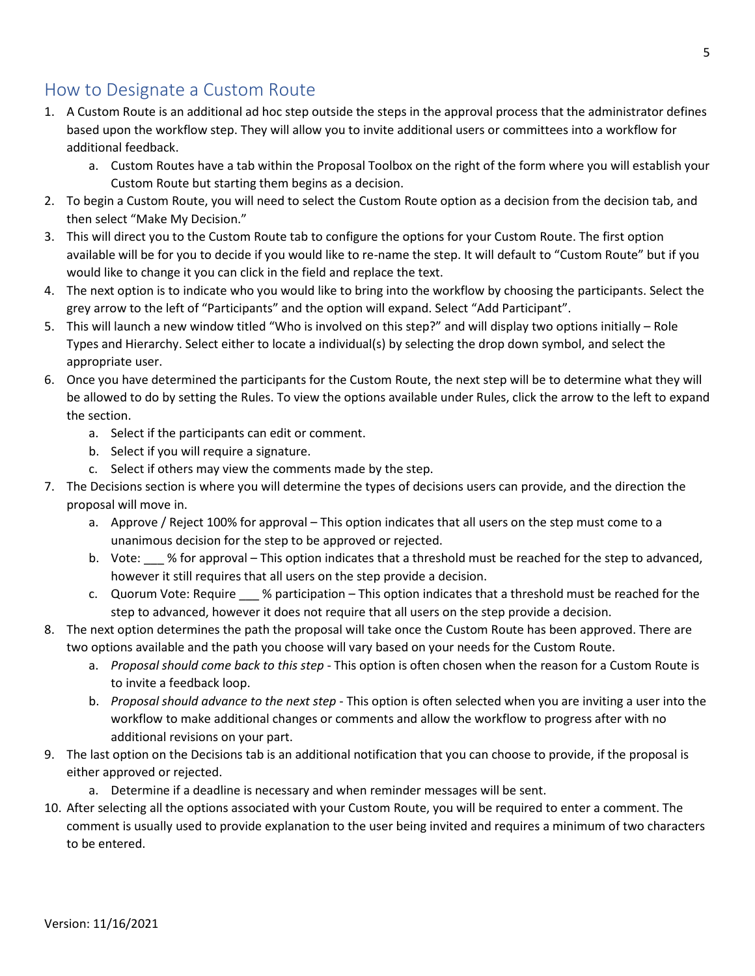# <span id="page-4-0"></span>How to Designate a Custom Route

- 1. A Custom Route is an additional ad hoc step outside the steps in the approval process that the administrator defines based upon the workflow step. They will allow you to invite additional users or committees into a workflow for additional feedback.
	- a. Custom Routes have a tab within the Proposal Toolbox on the right of the form where you will establish your Custom Route but starting them begins as a decision.
- 2. To begin a Custom Route, you will need to select the Custom Route option as a decision from the decision tab, and then select "Make My Decision."
- 3. This will direct you to the Custom Route tab to configure the options for your Custom Route. The first option available will be for you to decide if you would like to re-name the step. It will default to "Custom Route" but if you would like to change it you can click in the field and replace the text.
- 4. The next option is to indicate who you would like to bring into the workflow by choosing the participants. Select the grey arrow to the left of "Participants" and the option will expand. Select "Add Participant".
- 5. This will launch a new window titled "Who is involved on this step?" and will display two options initially Role Types and Hierarchy. Select either to locate a individual(s) by selecting the drop down symbol, and select the appropriate user.
- 6. Once you have determined the participants for the Custom Route, the next step will be to determine what they will be allowed to do by setting the Rules. To view the options available under Rules, click the arrow to the left to expand the section.
	- a. Select if the participants can edit or comment.
	- b. Select if you will require a signature.
	- c. Select if others may view the comments made by the step.
- 7. The Decisions section is where you will determine the types of decisions users can provide, and the direction the proposal will move in.
	- a. Approve / Reject 100% for approval This option indicates that all users on the step must come to a unanimous decision for the step to be approved or rejected.
	- b. Vote: \_\_\_ % for approval This option indicates that a threshold must be reached for the step to advanced, however it still requires that all users on the step provide a decision.
	- c. Quorum Vote: Require \_\_\_ % participation This option indicates that a threshold must be reached for the step to advanced, however it does not require that all users on the step provide a decision.
- 8. The next option determines the path the proposal will take once the Custom Route has been approved. There are two options available and the path you choose will vary based on your needs for the Custom Route.
	- a. *Proposal should come back to this step* This option is often chosen when the reason for a Custom Route is to invite a feedback loop.
	- b. *Proposal should advance to the next step* This option is often selected when you are inviting a user into the workflow to make additional changes or comments and allow the workflow to progress after with no additional revisions on your part.
- 9. The last option on the Decisions tab is an additional notification that you can choose to provide, if the proposal is either approved or rejected.

a. Determine if a deadline is necessary and when reminder messages will be sent.

10. After selecting all the options associated with your Custom Route, you will be required to enter a comment. The comment is usually used to provide explanation to the user being invited and requires a minimum of two characters to be entered.